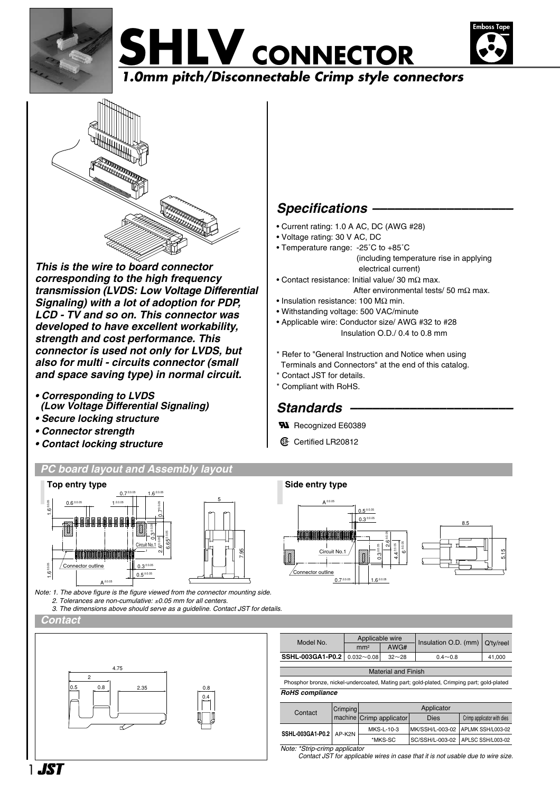





*This is the wire to board connector corresponding to the high frequency transmission (LVDS: Low Voltage Differential Signaling) with a lot of adoption for PDP, LCD - TV and so on. This connector was developed to have excellent workability, strength and cost performance. This connector is used not only for LVDS, but also for multi - circuits connector (small and space saving type) in normal circuit.*

- *Corresponding to LVDS (Low Voltage Differential Signaling)*
- *Secure locking structure*
- *Connector strength*
- *Contact locking structure*

# *PC board layout and Assembly layout*



*Note: 1. The above figure is the figure viewed from the connector mounting side. 2. Tolerances are non-cumulative:* ±*0.05 mm for all centers. 3. The dimensions above should serve as a guideline. Contact JST for details.*

*Contact* 



## *Specifications –––––––––––––––––––*

- Current rating: 1.0 A AC, DC (AWG #28)
- Voltage rating: 30 V AC, DC
- Temperature range: -25˚C to +85˚C (including temperature rise in applying electrical current)
- Contact resistance: Initial value/ 30 mΩ max. After environmental tests/ 50 mΩ max.
- Insulation resistance: 100 MΩ min.
- Withstanding voltage: 500 VAC/minute
- Applicable wire: Conductor size/ AWG #32 to #28 Insulation O.D./ 0.4 to 0.8 mm
- \* Refer to "General Instruction and Notice when using
- Terminals and Connectors" at the end of this catalog.
- \* Contact JST for details.
- \* Compliant with RoHS.

## Standards -

- **W** Recognized E60389
- **1** Certified LR20812

## **Side entry type**



| Model No.                   | Applicable wire |           | Insulation O.D. (mm)   Q'ty/reel |        |  |  |  |  |
|-----------------------------|-----------------|-----------|----------------------------------|--------|--|--|--|--|
|                             | mm <sup>2</sup> | AWG#      |                                  |        |  |  |  |  |
| SSHL-003GA1-P0.2 0.032~0.08 |                 | $32 - 28$ | $0.4 - 0.8$                      | 41.000 |  |  |  |  |
|                             |                 |           |                                  |        |  |  |  |  |
| <b>Material and Finish</b>  |                 |           |                                  |        |  |  |  |  |
|                             |                 |           |                                  | .      |  |  |  |  |

 Phosphor bronze, nickel-undercoated, Mating part; gold-plated, Crimping part; gold-plated *RoHS compliance*

| Contact                       | Crimping | Applicator               |      |                                     |  |  |
|-------------------------------|----------|--------------------------|------|-------------------------------------|--|--|
|                               |          | machine Crimp applicator | Dies | Crimp applicator with dies          |  |  |
| SSHL-003GA1-P0.2 AP-K2N       |          | MKS-L-10-3               |      | MK/SSH/L-003-02   APLMK SSH/L003-02 |  |  |
|                               |          | *MKS-SC                  |      | SC/SSH/L-003-02   APLSC SSH/L003-02 |  |  |
| Note: *Strip-crimp applicator |          |                          |      |                                     |  |  |

*Contact JST for applicable wires in case that it is not usable due to wire size.*